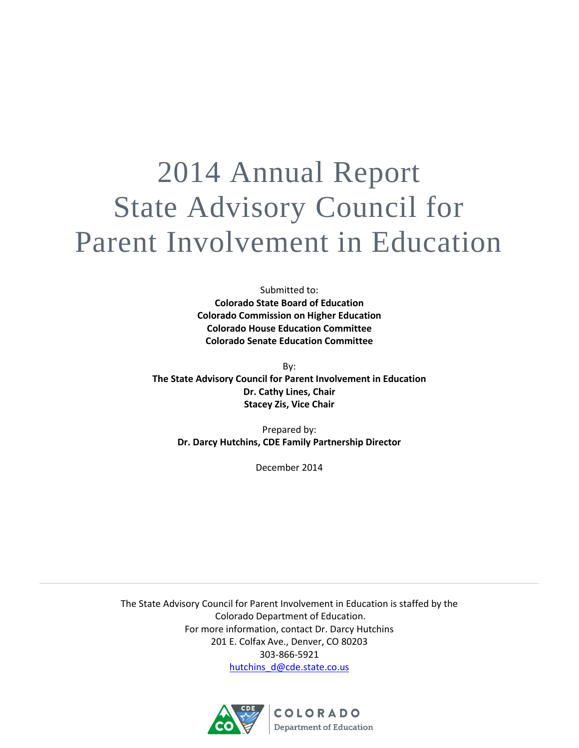# 2014 Annual Report State Advisory Council for Parent Involvement in Education

Submitted to: **Colorado State Board of Education Colorado Commission on Higher Education Colorado House Education Committee Colorado Senate Education Committee**

By: **The State Advisory Council for Parent Involvement in Education Dr. Cathy Lines, Chair Stacey Zis, Vice Chair**

> Prepared by: **Dr. Darcy Hutchins, CDE Family Partnership Director**

> > December 2014

The State Advisory Council for Parent Involvement in Education is staffed by the Colorado Department of Education. For more information, contact Dr. Darcy Hutchins 201 E. Colfax Ave., Denver, CO 80203 303-866-5921 [hutchins\\_d@cde.state.co.us](mailto:hutchins_d@cde.state.co.us)

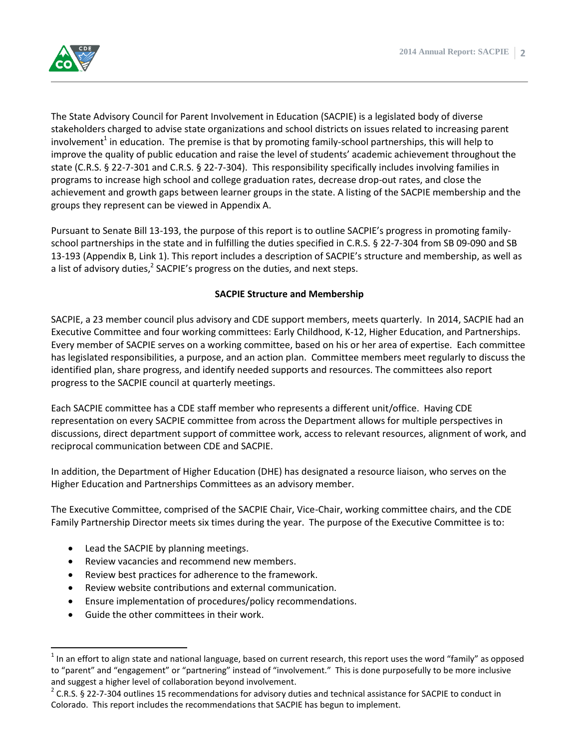The State Advisory Council for Parent Involvement in Education (SACPIE) is a legislated body of diverse stakeholders charged to advise state organizations and school districts on issues related to increasing parent involvement<sup>1</sup> in education. The premise is that by promoting family-school partnerships, this will help to improve the quality of public education and raise the level of students' academic achievement throughout the state (C.R.S. § 22-7-301 and C.R.S. § 22-7-304). This responsibility specifically includes involving families in programs to increase high school and college graduation rates, decrease drop-out rates, and close the achievement and growth gaps between learner groups in the state. A listing of the SACPIE membership and the groups they represent can be viewed in Appendix A.

Pursuant to Senate Bill 13-193, the purpose of this report is to outline SACPIE's progress in promoting familyschool partnerships in the state and in fulfilling the duties specified in C.R.S. § 22-7-304 from SB 09-090 and SB 13-193 (Appendix B, Link 1). This report includes a description of SACPIE's structure and membership, as well as a list of advisory duties,<sup>2</sup> SACPIE's progress on the duties, and next steps.

#### **SACPIE Structure and Membership**

SACPIE, a 23 member council plus advisory and CDE support members, meets quarterly. In 2014, SACPIE had an Executive Committee and four working committees: Early Childhood, K-12, Higher Education, and Partnerships. Every member of SACPIE serves on a working committee, based on his or her area of expertise. Each committee has legislated responsibilities, a purpose, and an action plan. Committee members meet regularly to discuss the identified plan, share progress, and identify needed supports and resources. The committees also report progress to the SACPIE council at quarterly meetings.

Each SACPIE committee has a CDE staff member who represents a different unit/office. Having CDE representation on every SACPIE committee from across the Department allows for multiple perspectives in discussions, direct department support of committee work, access to relevant resources, alignment of work, and reciprocal communication between CDE and SACPIE.

In addition, the Department of Higher Education (DHE) has designated a resource liaison, who serves on the Higher Education and Partnerships Committees as an advisory member.

The Executive Committee, comprised of the SACPIE Chair, Vice-Chair, working committee chairs, and the CDE Family Partnership Director meets six times during the year. The purpose of the Executive Committee is to:

- Lead the SACPIE by planning meetings.
- Review vacancies and recommend new members.
- Review best practices for adherence to the framework.
- Review website contributions and external communication.
- Ensure implementation of procedures/policy recommendations.
- Guide the other committees in their work.

 $\overline{\phantom{a}}$ 

 $1$  In an effort to align state and national language, based on current research, this report uses the word "family" as opposed to "parent" and "engagement" or "partnering" instead of "involvement." This is done purposefully to be more inclusive and suggest a higher level of collaboration beyond involvement.

 $2$  C.R.S. § 22-7-304 outlines 15 recommendations for advisory duties and technical assistance for SACPIE to conduct in Colorado. This report includes the recommendations that SACPIE has begun to implement.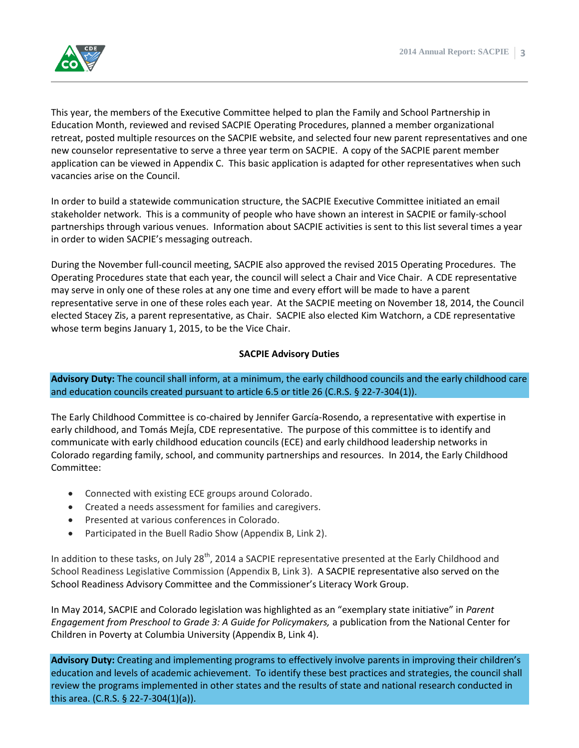

This year, the members of the Executive Committee helped to plan the Family and School Partnership in Education Month, reviewed and revised SACPIE Operating Procedures, planned a member organizational retreat, posted multiple resources on the SACPIE website, and selected four new parent representatives and one new counselor representative to serve a three year term on SACPIE. A copy of the SACPIE parent member application can be viewed in Appendix C. This basic application is adapted for other representatives when such vacancies arise on the Council.

In order to build a statewide communication structure, the SACPIE Executive Committee initiated an email stakeholder network. This is a community of people who have shown an interest in SACPIE or family-school partnerships through various venues. Information about SACPIE activities is sent to this list several times a year in order to widen SACPIE's messaging outreach.

During the November full-council meeting, SACPIE also approved the revised 2015 Operating Procedures. The Operating Procedures state that each year, the council will select a Chair and Vice Chair. A CDE representative may serve in only one of these roles at any one time and every effort will be made to have a parent representative serve in one of these roles each year. At the SACPIE meeting on November 18, 2014, the Council elected Stacey Zis, a parent representative, as Chair. SACPIE also elected Kim Watchorn, a CDE representative whose term begins January 1, 2015, to be the Vice Chair.

#### **SACPIE Advisory Duties**

**Advisory Duty:** The council shall inform, at a minimum, the early childhood councils and the early childhood care and education councils created pursuant to article 6.5 or title 26 (C.R.S. § 22-7-304(1)).

The Early Childhood Committee is co-chaired by Jennifer García-Rosendo, a representative with expertise in early childhood, and Tomás MejÍa, CDE representative. The purpose of this committee is to identify and communicate with early childhood education councils (ECE) and early childhood leadership networks in Colorado regarding family, school, and community partnerships and resources. In 2014, the Early Childhood Committee:

- Connected with existing ECE groups around Colorado.
- Created a needs assessment for families and caregivers.
- Presented at various conferences in Colorado.
- Participated in the Buell Radio Show (Appendix B, Link 2).

In addition to these tasks, on July 28<sup>th</sup>, 2014 a SACPIE representative presented at the Early Childhood and School Readiness Legislative Commission (Appendix B, Link 3). A SACPIE representative also served on the School Readiness Advisory Committee and the Commissioner's Literacy Work Group.

In May 2014, SACPIE and Colorado legislation was highlighted as an "exemplary state initiative" in *Parent Engagement from Preschool to Grade 3: A Guide for Policymakers,* a publication from the National Center for Children in Poverty at Columbia University (Appendix B, Link 4).

**Advisory Duty:** Creating and implementing programs to effectively involve parents in improving their children's education and levels of academic achievement. To identify these best practices and strategies, the council shall review the programs implemented in other states and the results of state and national research conducted in this area. (C.R.S. § 22-7-304(1)(a)).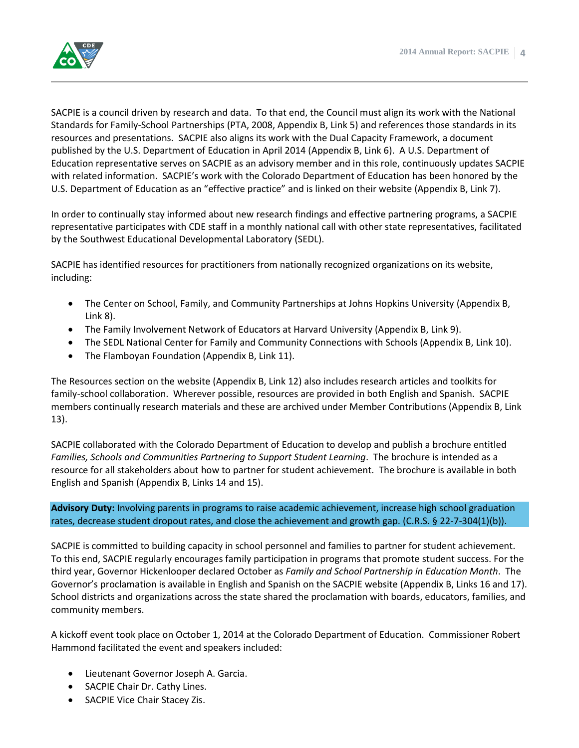

SACPIE is a council driven by research and data. To that end, the Council must align its work with the National Standards for Family-School Partnerships (PTA, 2008, Appendix B, Link 5) and references those standards in its resources and presentations. SACPIE also aligns its work with the Dual Capacity Framework, a document published by the U.S. Department of Education in April 2014 (Appendix B, Link 6). A U.S. Department of Education representative serves on SACPIE as an advisory member and in this role, continuously updates SACPIE with related information. SACPIE's work with the Colorado Department of Education has been honored by the U.S. Department of Education as an "effective practice" and is linked on their website (Appendix B, Link 7).

In order to continually stay informed about new research findings and effective partnering programs, a SACPIE representative participates with CDE staff in a monthly national call with other state representatives, facilitated by the Southwest Educational Developmental Laboratory (SEDL).

SACPIE has identified resources for practitioners from nationally recognized organizations on its website, including:

- The Center on School, Family, and Community Partnerships at Johns Hopkins University (Appendix B, Link 8).
- The Family Involvement Network of Educators at Harvard University (Appendix B, Link 9).
- The SEDL National Center for Family and Community Connections with Schools (Appendix B, Link 10).
- The Flamboyan Foundation (Appendix B, Link 11).

The Resources section on the website (Appendix B, Link 12) also includes research articles and toolkits for family-school collaboration. Wherever possible, resources are provided in both English and Spanish. SACPIE members continually research materials and these are archived under Member Contributions (Appendix B, Link 13).

SACPIE collaborated with the Colorado Department of Education to develop and publish a brochure entitled *Families, Schools and Communities Partnering to Support Student Learning*. The brochure is intended as a resource for all stakeholders about how to partner for student achievement. The brochure is available in both English and Spanish (Appendix B, Links 14 and 15).

**Advisory Duty:** Involving parents in programs to raise academic achievement, increase high school graduation rates, decrease student dropout rates, and close the achievement and growth gap. (C.R.S. § 22-7-304(1)(b)).

SACPIE is committed to building capacity in school personnel and families to partner for student achievement. To this end, SACPIE regularly encourages family participation in programs that promote student success. For the third year, Governor Hickenlooper declared October as *Family and School Partnership in Education Month*. The Governor's proclamation is available in English and Spanish on the SACPIE website (Appendix B, Links 16 and 17). School districts and organizations across the state shared the proclamation with boards, educators, families, and community members.

A kickoff event took place on October 1, 2014 at the Colorado Department of Education. Commissioner Robert Hammond facilitated the event and speakers included:

- Lieutenant Governor Joseph A. Garcia.
- SACPIE Chair Dr. Cathy Lines.
- SACPIE Vice Chair Stacey Zis.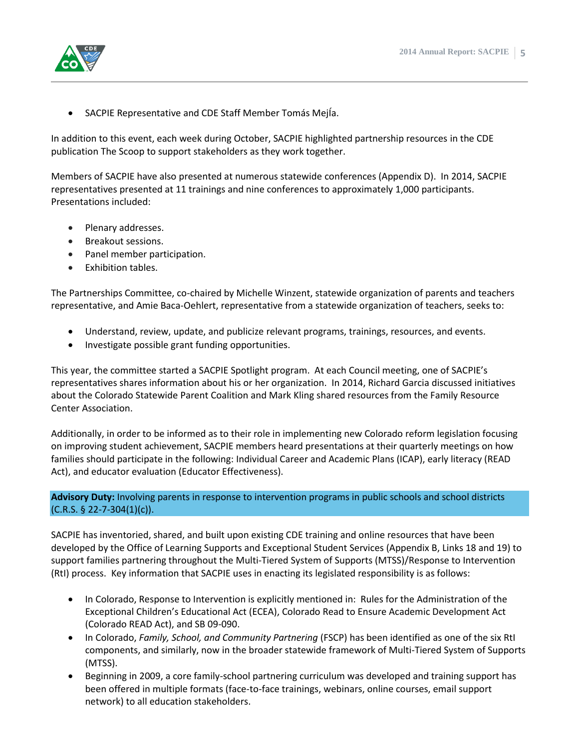

SACPIE Representative and CDE Staff Member Tomás MejÍa.

In addition to this event, each week during October, SACPIE highlighted partnership resources in the CDE publication The Scoop to support stakeholders as they work together.

Members of SACPIE have also presented at numerous statewide conferences (Appendix D). In 2014, SACPIE representatives presented at 11 trainings and nine conferences to approximately 1,000 participants. Presentations included:

- Plenary addresses.
- Breakout sessions.
- Panel member participation.
- Exhibition tables.

The Partnerships Committee, co-chaired by Michelle Winzent, statewide organization of parents and teachers representative, and Amie Baca-Oehlert, representative from a statewide organization of teachers, seeks to:

- Understand, review, update, and publicize relevant programs, trainings, resources, and events.
- Investigate possible grant funding opportunities.

This year, the committee started a SACPIE Spotlight program. At each Council meeting, one of SACPIE's representatives shares information about his or her organization. In 2014, Richard Garcia discussed initiatives about the Colorado Statewide Parent Coalition and Mark Kling shared resources from the Family Resource Center Association.

Additionally, in order to be informed as to their role in implementing new Colorado reform legislation focusing on improving student achievement, SACPIE members heard presentations at their quarterly meetings on how families should participate in the following: Individual Career and Academic Plans (ICAP), early literacy (READ Act), and educator evaluation (Educator Effectiveness).

#### **Advisory Duty:** Involving parents in response to intervention programs in public schools and school districts (C.R.S. § 22-7-304(1)(c)).

SACPIE has inventoried, shared, and built upon existing CDE training and online resources that have been developed by the Office of Learning Supports and Exceptional Student Services (Appendix B, Links 18 and 19) to support families partnering throughout the Multi-Tiered System of Supports (MTSS)/Response to Intervention (RtI) process. Key information that SACPIE uses in enacting its legislated responsibility is as follows:

- In Colorado, Response to Intervention is explicitly mentioned in: Rules for the Administration of the Exceptional Children's Educational Act (ECEA), Colorado Read to Ensure Academic Development Act (Colorado READ Act), and SB 09-090.
- In Colorado, *Family, School, and Community Partnering* (FSCP) has been identified as one of the six RtI components, and similarly, now in the broader statewide framework of Multi-Tiered System of Supports (MTSS).
- Beginning in 2009, a core family-school partnering curriculum was developed and training support has been offered in multiple formats (face-to-face trainings, webinars, online courses, email support network) to all education stakeholders.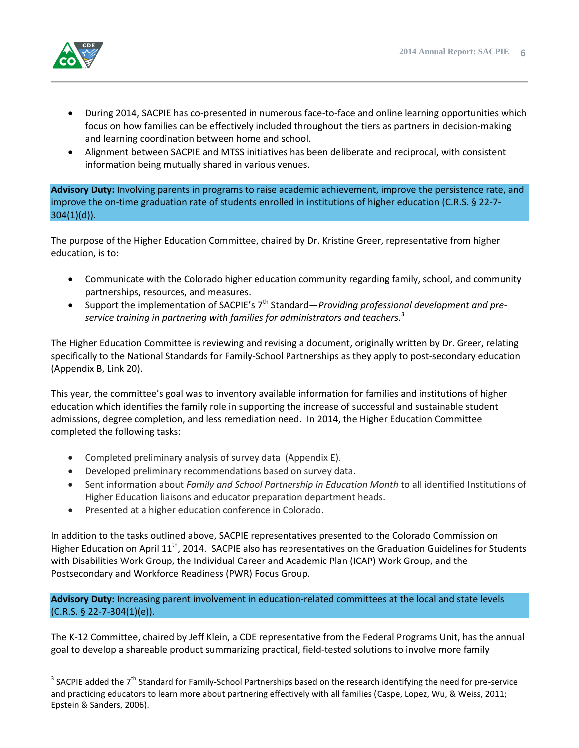

 $\overline{a}$ 

- During 2014, SACPIE has co-presented in numerous face-to-face and online learning opportunities which focus on how families can be effectively included throughout the tiers as partners in decision-making and learning coordination between home and school.
- Alignment between SACPIE and MTSS initiatives has been deliberate and reciprocal, with consistent information being mutually shared in various venues.

**Advisory Duty:** Involving parents in programs to raise academic achievement, improve the persistence rate, and improve the on-time graduation rate of students enrolled in institutions of higher education (C.R.S. § 22-7-  $304(1)(d)$ ).

The purpose of the Higher Education Committee, chaired by Dr. Kristine Greer, representative from higher education, is to:

- Communicate with the Colorado higher education community regarding family, school, and community partnerships, resources, and measures.
- Support the implementation of SACPIE's 7<sup>th</sup> Standard—*Providing professional development and preservice training in partnering with families for administrators and teachers. 3*

The Higher Education Committee is reviewing and revising a document, originally written by Dr. Greer, relating specifically to the National Standards for Family-School Partnerships as they apply to post-secondary education (Appendix B, Link 20).

This year, the committee's goal was to inventory available information for families and institutions of higher education which identifies the family role in supporting the increase of successful and sustainable student admissions, degree completion, and less remediation need. In 2014, the Higher Education Committee completed the following tasks:

- Completed preliminary analysis of survey data (Appendix E).
- Developed preliminary recommendations based on survey data.
- Sent information about *Family and School Partnership in Education Month* to all identified Institutions of Higher Education liaisons and educator preparation department heads.
- Presented at a higher education conference in Colorado.

In addition to the tasks outlined above, SACPIE representatives presented to the Colorado Commission on Higher Education on April 11<sup>th</sup>, 2014. SACPIE also has representatives on the Graduation Guidelines for Students with Disabilities Work Group, the Individual Career and Academic Plan (ICAP) Work Group, and the Postsecondary and Workforce Readiness (PWR) Focus Group.

**Advisory Duty:** Increasing parent involvement in education-related committees at the local and state levels (C.R.S. § 22-7-304(1)(e)).

The K-12 Committee, chaired by Jeff Klein, a CDE representative from the Federal Programs Unit, has the annual goal to develop a shareable product summarizing practical, field-tested solutions to involve more family

<sup>&</sup>lt;sup>3</sup> SACPIE added the 7<sup>th</sup> Standard for Family-School Partnerships based on the research identifying the need for pre-service and practicing educators to learn more about partnering effectively with all families (Caspe, Lopez, Wu, & Weiss, 2011; Epstein & Sanders, 2006).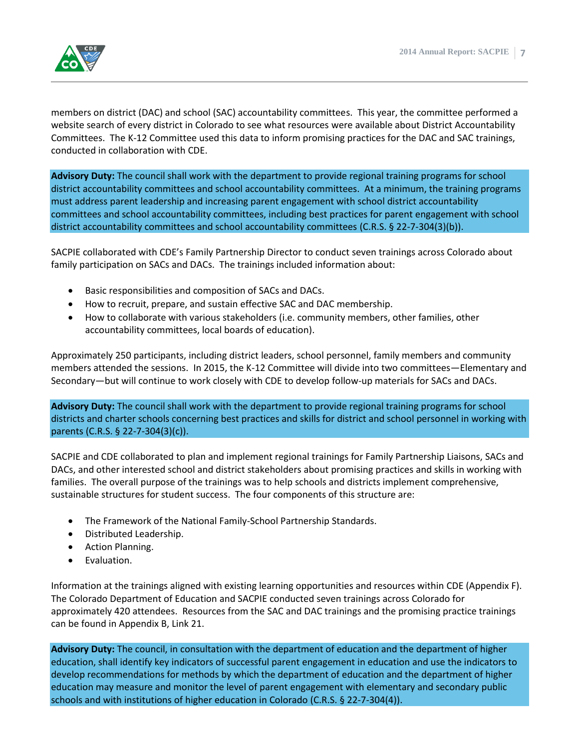

members on district (DAC) and school (SAC) accountability committees. This year, the committee performed a website search of every district in Colorado to see what resources were available about District Accountability Committees. The K-12 Committee used this data to inform promising practices for the DAC and SAC trainings, conducted in collaboration with CDE.

**Advisory Duty:** The council shall work with the department to provide regional training programs for school district accountability committees and school accountability committees. At a minimum, the training programs must address parent leadership and increasing parent engagement with school district accountability committees and school accountability committees, including best practices for parent engagement with school district accountability committees and school accountability committees (C.R.S. § 22-7-304(3)(b)).

SACPIE collaborated with CDE's Family Partnership Director to conduct seven trainings across Colorado about family participation on SACs and DACs. The trainings included information about:

- Basic responsibilities and composition of SACs and DACs.
- How to recruit, prepare, and sustain effective SAC and DAC membership.
- How to collaborate with various stakeholders (i.e. community members, other families, other accountability committees, local boards of education).

Approximately 250 participants, including district leaders, school personnel, family members and community members attended the sessions. In 2015, the K-12 Committee will divide into two committees—Elementary and Secondary—but will continue to work closely with CDE to develop follow-up materials for SACs and DACs.

**Advisory Duty:** The council shall work with the department to provide regional training programs for school districts and charter schools concerning best practices and skills for district and school personnel in working with parents (C.R.S. § 22-7-304(3)(c)).

SACPIE and CDE collaborated to plan and implement regional trainings for Family Partnership Liaisons, SACs and DACs, and other interested school and district stakeholders about promising practices and skills in working with families. The overall purpose of the trainings was to help schools and districts implement comprehensive, sustainable structures for student success. The four components of this structure are:

- The Framework of the National Family-School Partnership Standards.
- Distributed Leadership.
- Action Planning.
- **•** Evaluation.

Information at the trainings aligned with existing learning opportunities and resources within CDE (Appendix F). The Colorado Department of Education and SACPIE conducted seven trainings across Colorado for approximately 420 attendees. Resources from the SAC and DAC trainings and the promising practice trainings can be found in Appendix B, Link 21.

**Advisory Duty:** The council, in consultation with the department of education and the department of higher education, shall identify key indicators of successful parent engagement in education and use the indicators to develop recommendations for methods by which the department of education and the department of higher education may measure and monitor the level of parent engagement with elementary and secondary public schools and with institutions of higher education in Colorado (C.R.S. § 22-7-304(4)).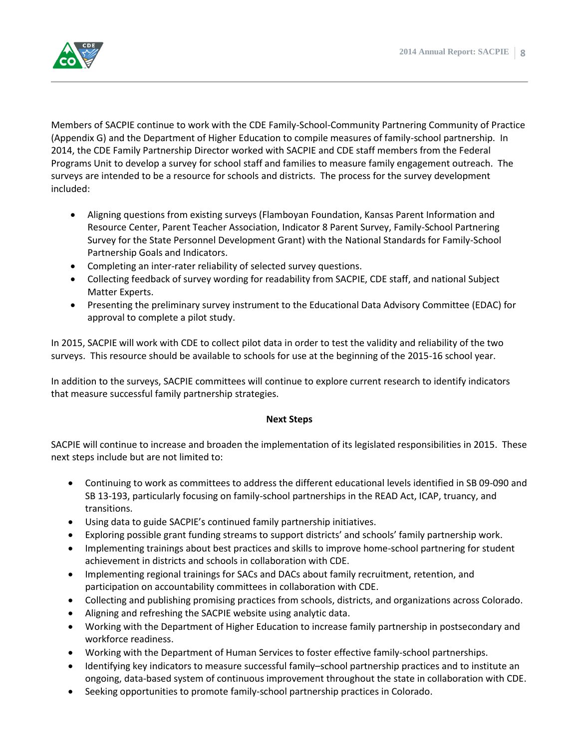

Members of SACPIE continue to work with the CDE Family-School-Community Partnering Community of Practice (Appendix G) and the Department of Higher Education to compile measures of family-school partnership. In 2014, the CDE Family Partnership Director worked with SACPIE and CDE staff members from the Federal Programs Unit to develop a survey for school staff and families to measure family engagement outreach. The surveys are intended to be a resource for schools and districts. The process for the survey development included:

- Aligning questions from existing surveys (Flamboyan Foundation, Kansas Parent Information and Resource Center, Parent Teacher Association, Indicator 8 Parent Survey, Family-School Partnering Survey for the State Personnel Development Grant) with the National Standards for Family-School Partnership Goals and Indicators.
- Completing an inter-rater reliability of selected survey questions.
- Collecting feedback of survey wording for readability from SACPIE, CDE staff, and national Subject Matter Experts.
- Presenting the preliminary survey instrument to the Educational Data Advisory Committee (EDAC) for approval to complete a pilot study.

In 2015, SACPIE will work with CDE to collect pilot data in order to test the validity and reliability of the two surveys. This resource should be available to schools for use at the beginning of the 2015-16 school year.

In addition to the surveys, SACPIE committees will continue to explore current research to identify indicators that measure successful family partnership strategies.

#### **Next Steps**

SACPIE will continue to increase and broaden the implementation of its legislated responsibilities in 2015. These next steps include but are not limited to:

- Continuing to work as committees to address the different educational levels identified in SB 09-090 and SB 13-193, particularly focusing on family-school partnerships in the READ Act, ICAP, truancy, and transitions.
- Using data to guide SACPIE's continued family partnership initiatives.
- Exploring possible grant funding streams to support districts' and schools' family partnership work.
- Implementing trainings about best practices and skills to improve home-school partnering for student achievement in districts and schools in collaboration with CDE.
- Implementing regional trainings for SACs and DACs about family recruitment, retention, and participation on accountability committees in collaboration with CDE.
- Collecting and publishing promising practices from schools, districts, and organizations across Colorado.
- Aligning and refreshing the SACPIE website using analytic data.
- Working with the Department of Higher Education to increase family partnership in postsecondary and workforce readiness.
- Working with the Department of Human Services to foster effective family-school partnerships.
- Identifying key indicators to measure successful family–school partnership practices and to institute an ongoing, data-based system of continuous improvement throughout the state in collaboration with CDE.
- Seeking opportunities to promote family-school partnership practices in Colorado.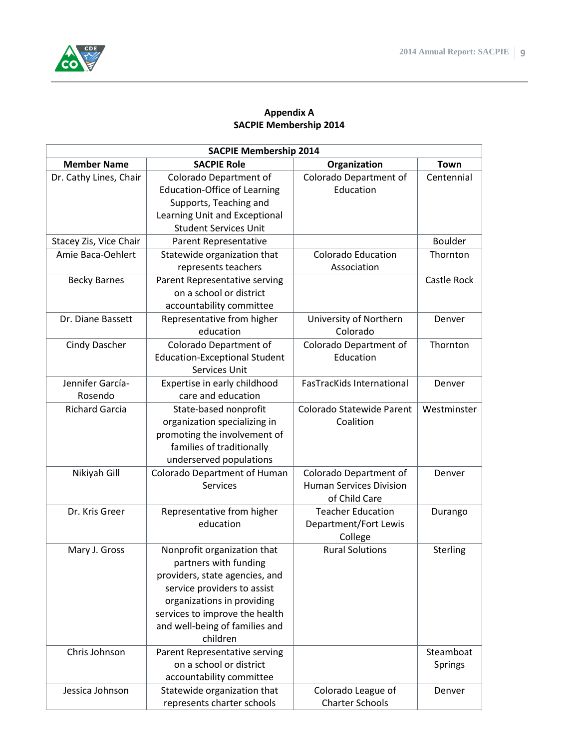

#### **Appendix A SACPIE Membership 2014**

| <b>SACPIE Membership 2014</b> |                                      |                                  |             |  |
|-------------------------------|--------------------------------------|----------------------------------|-------------|--|
| <b>Member Name</b>            | <b>SACPIE Role</b>                   | Organization                     | Town        |  |
| Dr. Cathy Lines, Chair        | Colorado Department of               | Colorado Department of           | Centennial  |  |
|                               | <b>Education-Office of Learning</b>  | Education                        |             |  |
|                               | Supports, Teaching and               |                                  |             |  |
|                               | Learning Unit and Exceptional        |                                  |             |  |
|                               | <b>Student Services Unit</b>         |                                  |             |  |
| Stacey Zis, Vice Chair        | Parent Representative                |                                  | Boulder     |  |
| Amie Baca-Oehlert             | Statewide organization that          | <b>Colorado Education</b>        | Thornton    |  |
|                               | represents teachers                  | Association                      |             |  |
| <b>Becky Barnes</b>           | Parent Representative serving        |                                  | Castle Rock |  |
|                               | on a school or district              |                                  |             |  |
|                               | accountability committee             |                                  |             |  |
| Dr. Diane Bassett             | Representative from higher           | University of Northern           | Denver      |  |
|                               | education                            | Colorado                         |             |  |
| <b>Cindy Dascher</b>          | Colorado Department of               | Colorado Department of           | Thornton    |  |
|                               | <b>Education-Exceptional Student</b> | Education                        |             |  |
|                               | Services Unit                        |                                  |             |  |
| Jennifer García-              | Expertise in early childhood         | <b>FasTracKids International</b> | Denver      |  |
| Rosendo                       | care and education                   |                                  |             |  |
| <b>Richard Garcia</b>         | State-based nonprofit                | Colorado Statewide Parent        | Westminster |  |
|                               | organization specializing in         | Coalition                        |             |  |
|                               | promoting the involvement of         |                                  |             |  |
|                               | families of traditionally            |                                  |             |  |
|                               | underserved populations              |                                  |             |  |
| Nikiyah Gill                  | Colorado Department of Human         | Colorado Department of           | Denver      |  |
|                               | <b>Services</b>                      | <b>Human Services Division</b>   |             |  |
|                               |                                      | of Child Care                    |             |  |
| Dr. Kris Greer                | Representative from higher           | <b>Teacher Education</b>         | Durango     |  |
|                               | education                            | Department/Fort Lewis            |             |  |
|                               |                                      | College                          |             |  |
| Mary J. Gross                 | Nonprofit organization that          | <b>Rural Solutions</b>           | Sterling    |  |
|                               | partners with funding                |                                  |             |  |
|                               | providers, state agencies, and       |                                  |             |  |
|                               | service providers to assist          |                                  |             |  |
|                               | organizations in providing           |                                  |             |  |
|                               | services to improve the health       |                                  |             |  |
|                               | and well-being of families and       |                                  |             |  |
|                               | children                             |                                  |             |  |
| Chris Johnson                 | Parent Representative serving        |                                  | Steamboat   |  |
|                               | on a school or district              |                                  | Springs     |  |
|                               | accountability committee             |                                  |             |  |
| Jessica Johnson               | Statewide organization that          | Colorado League of               | Denver      |  |
|                               | represents charter schools           | <b>Charter Schools</b>           |             |  |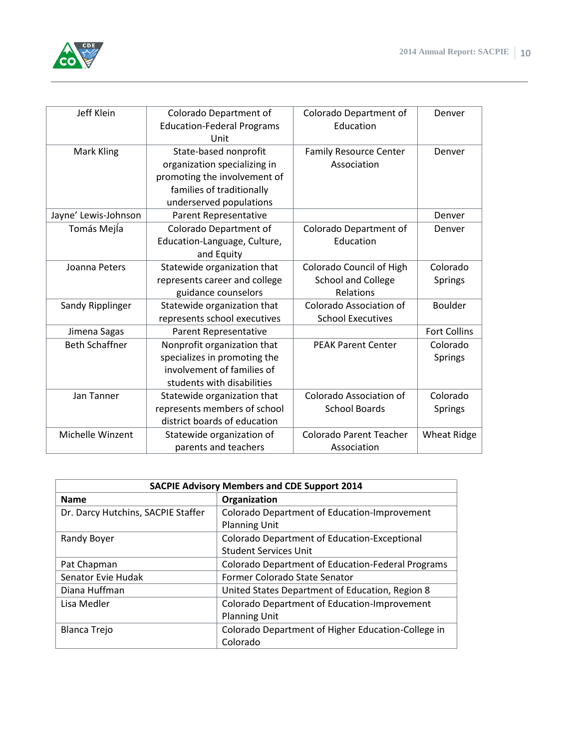

| Jeff Klein            | Colorado Department of            | Colorado Department of         | Denver              |
|-----------------------|-----------------------------------|--------------------------------|---------------------|
|                       | <b>Education-Federal Programs</b> | Education                      |                     |
|                       | Unit                              |                                |                     |
| Mark Kling            | State-based nonprofit             | <b>Family Resource Center</b>  | Denver              |
|                       | organization specializing in      | Association                    |                     |
|                       | promoting the involvement of      |                                |                     |
|                       | families of traditionally         |                                |                     |
|                       | underserved populations           |                                |                     |
| Jayne' Lewis-Johnson  | Parent Representative             |                                | Denver              |
| Tomás Mejía           | Colorado Department of            | Colorado Department of         | Denver              |
|                       | Education-Language, Culture,      | Education                      |                     |
|                       | and Equity                        |                                |                     |
| Joanna Peters         | Statewide organization that       | Colorado Council of High       | Colorado            |
|                       | represents career and college     | <b>School and College</b>      | <b>Springs</b>      |
|                       | guidance counselors               | Relations                      |                     |
| Sandy Ripplinger      | Statewide organization that       | Colorado Association of        | <b>Boulder</b>      |
|                       | represents school executives      | <b>School Executives</b>       |                     |
| Jimena Sagas          | Parent Representative             |                                | <b>Fort Collins</b> |
| <b>Beth Schaffner</b> | Nonprofit organization that       | <b>PEAK Parent Center</b>      | Colorado            |
|                       | specializes in promoting the      |                                | <b>Springs</b>      |
|                       | involvement of families of        |                                |                     |
|                       | students with disabilities        |                                |                     |
| Jan Tanner            | Statewide organization that       | Colorado Association of        | Colorado            |
|                       | represents members of school      | <b>School Boards</b>           | Springs             |
|                       | district boards of education      |                                |                     |
| Michelle Winzent      | Statewide organization of         | <b>Colorado Parent Teacher</b> | <b>Wheat Ridge</b>  |
|                       | parents and teachers              | Association                    |                     |
|                       |                                   |                                |                     |

| <b>SACPIE Advisory Members and CDE Support 2014</b> |                                                    |  |
|-----------------------------------------------------|----------------------------------------------------|--|
| <b>Name</b>                                         | Organization                                       |  |
| Dr. Darcy Hutchins, SACPIE Staffer                  | Colorado Department of Education-Improvement       |  |
|                                                     | <b>Planning Unit</b>                               |  |
| Randy Boyer                                         | Colorado Department of Education-Exceptional       |  |
|                                                     | <b>Student Services Unit</b>                       |  |
| Pat Chapman                                         | Colorado Department of Education-Federal Programs  |  |
| Senator Evie Hudak                                  | Former Colorado State Senator                      |  |
| Diana Huffman                                       | United States Department of Education, Region 8    |  |
| Lisa Medler                                         | Colorado Department of Education-Improvement       |  |
|                                                     | <b>Planning Unit</b>                               |  |
| <b>Blanca Trejo</b>                                 | Colorado Department of Higher Education-College in |  |
|                                                     | Colorado                                           |  |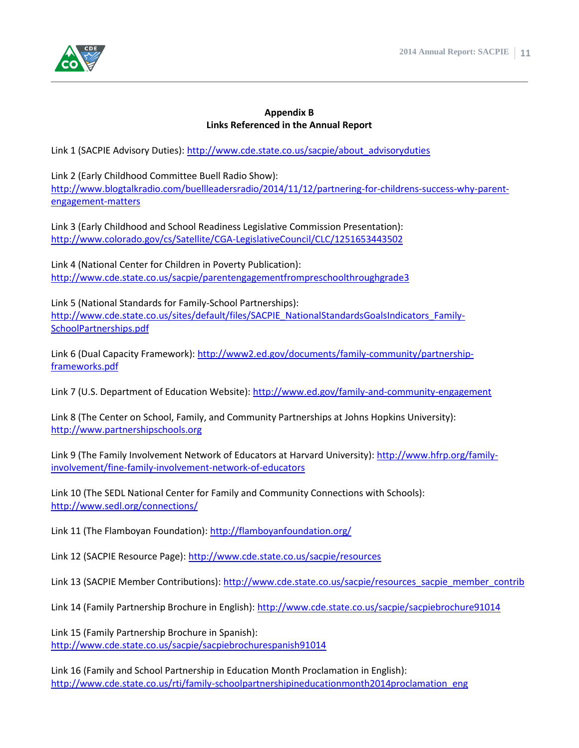

#### **Appendix B Links Referenced in the Annual Report**

Link 1 (SACPIE Advisory Duties): [http://www.cde.state.co.us/sacpie/about\\_advisoryduties](http://www.cde.state.co.us/sacpie/about_advisoryduties)

Link 2 (Early Childhood Committee Buell Radio Show): [http://www.blogtalkradio.com/buellleadersradio/2014/11/12/partnering-for-childrens-success-why-parent](http://www.blogtalkradio.com/buellleadersradio/2014/11/12/partnering-for-childrens-success-why-parent-engagement-matters)[engagement-matters](http://www.blogtalkradio.com/buellleadersradio/2014/11/12/partnering-for-childrens-success-why-parent-engagement-matters)

Link 3 (Early Childhood and School Readiness Legislative Commission Presentation): <http://www.colorado.gov/cs/Satellite/CGA-LegislativeCouncil/CLC/1251653443502>

Link 4 (National Center for Children in Poverty Publication): <http://www.cde.state.co.us/sacpie/parentengagementfrompreschoolthroughgrade3>

Link 5 (National Standards for Family-School Partnerships): [http://www.cde.state.co.us/sites/default/files/SACPIE\\_NationalStandardsGoalsIndicators\\_Family-](http://www.cde.state.co.us/sites/default/files/SACPIE_NationalStandardsGoalsIndicators_Family-SchoolPartnerships.pdf)[SchoolPartnerships.pdf](http://www.cde.state.co.us/sites/default/files/SACPIE_NationalStandardsGoalsIndicators_Family-SchoolPartnerships.pdf)

Link 6 (Dual Capacity Framework): [http://www2.ed.gov/documents/family-community/partnership](http://www2.ed.gov/documents/family-community/partnership-frameworks.pdf)[frameworks.pdf](http://www2.ed.gov/documents/family-community/partnership-frameworks.pdf)

Link 7 (U.S. Department of Education Website)[: http://www.ed.gov/family-and-community-engagement](http://www.ed.gov/family-and-community-engagement)

Link 8 (The Center on School, Family, and Community Partnerships at Johns Hopkins University): [http://www.partnershipschools.org](http://www.partnershipschools.org/)

Link 9 (The Family Involvement Network of Educators at Harvard University)[: http://www.hfrp.org/family](http://www.hfrp.org/family-involvement/fine-family-involvement-network-of-educators)[involvement/fine-family-involvement-network-of-educators](http://www.hfrp.org/family-involvement/fine-family-involvement-network-of-educators)

Link 10 (The SEDL National Center for Family and Community Connections with Schools): <http://www.sedl.org/connections/>

Link 11 (The Flamboyan Foundation):<http://flamboyanfoundation.org/>

Link 12 (SACPIE Resource Page):<http://www.cde.state.co.us/sacpie/resources>

Link 13 (SACPIE Member Contributions): [http://www.cde.state.co.us/sacpie/resources\\_sacpie\\_member\\_contrib](http://www.cde.state.co.us/sacpie/resources_sacpie_member_contrib)

Link 14 (Family Partnership Brochure in English):<http://www.cde.state.co.us/sacpie/sacpiebrochure91014>

Link 15 (Family Partnership Brochure in Spanish): <http://www.cde.state.co.us/sacpie/sacpiebrochurespanish91014>

Link 16 (Family and School Partnership in Education Month Proclamation in English): [http://www.cde.state.co.us/rti/family-schoolpartnershipineducationmonth2014proclamation\\_eng](http://www.cde.state.co.us/rti/family-schoolpartnershipineducationmonth2014proclamation_eng)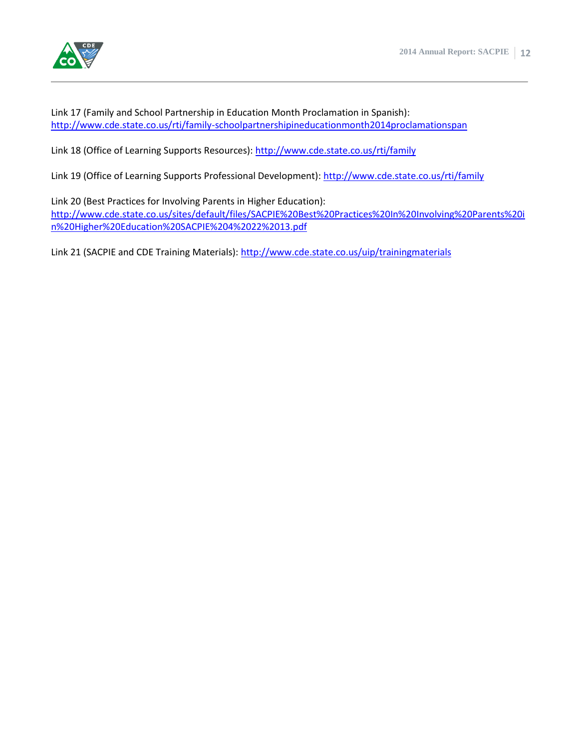

Link 17 (Family and School Partnership in Education Month Proclamation in Spanish): <http://www.cde.state.co.us/rti/family-schoolpartnershipineducationmonth2014proclamationspan>

Link 18 (Office of Learning Supports Resources):<http://www.cde.state.co.us/rti/family>

Link 19 (Office of Learning Supports Professional Development):<http://www.cde.state.co.us/rti/family>

Link 20 (Best Practices for Involving Parents in Higher Education): [http://www.cde.state.co.us/sites/default/files/SACPIE%20Best%20Practices%20In%20Involving%20Parents%20i](http://www.cde.state.co.us/sites/default/files/SACPIE%20Best%20Practices%20In%20Involving%20Parents%20in%20Higher%20Education%20SACPIE%204%2022%2013.pdf) [n%20Higher%20Education%20SACPIE%204%2022%2013.pdf](http://www.cde.state.co.us/sites/default/files/SACPIE%20Best%20Practices%20In%20Involving%20Parents%20in%20Higher%20Education%20SACPIE%204%2022%2013.pdf)

Link 21 (SACPIE and CDE Training Materials)[: http://www.cde.state.co.us/uip/trainingmaterials](http://www.cde.state.co.us/uip/trainingmaterials)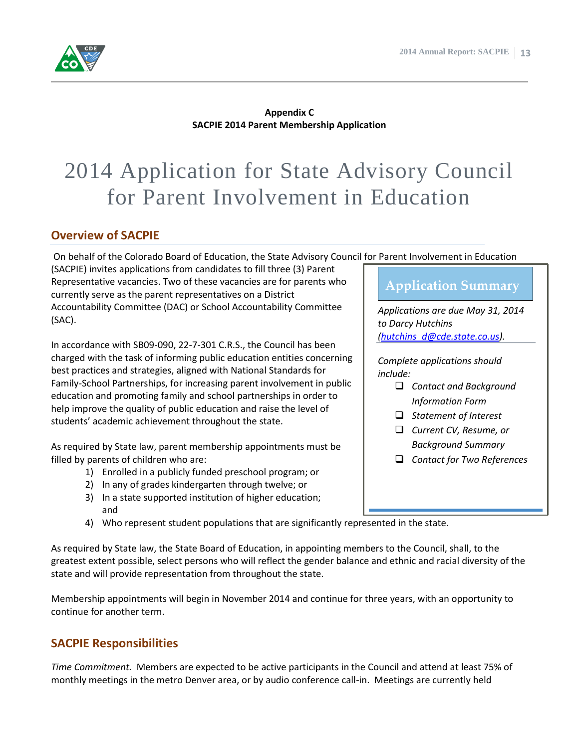

**Appendix C SACPIE 2014 Parent Membership Application**

# 2014 Application for State Advisory Council for Parent Involvement in Education

#### **Overview of SACPIE**

On behalf of the Colorado Board of Education, the State Advisory Council for Parent Involvement in Education

(SACPIE) invites applications from candidates to fill three (3) Parent Representative vacancies. Two of these vacancies are for parents who currently serve as the parent representatives on a District Accountability Committee (DAC) or School Accountability Committee (SAC).

In accordance with SB09-090, 22-7-301 C.R.S., the Council has been charged with the task of informing public education entities concerning best practices and strategies, aligned with National Standards for Family-School Partnerships, for increasing parent involvement in public education and promoting family and school partnerships in order to help improve the quality of public education and raise the level of students' academic achievement throughout the state.

As required by State law, parent membership appointments must be filled by parents of children who are:

- 1) Enrolled in a publicly funded preschool program; or
- 2) In any of grades kindergarten through twelve; or
- 3) In a state supported institution of higher education; and
- 4) Who represent student populations that are significantly represented in the state.

As required by State law, the State Board of Education, in appointing members to the Council, shall, to the greatest extent possible, select persons who will reflect the gender balance and ethnic and racial diversity of the state and will provide representation from throughout the state.

Membership appointments will begin in November 2014 and continue for three years, with an opportunity to continue for another term.

#### **SACPIE Responsibilities**

*Time Commitment.* Members are expected to be active participants in the Council and attend at least 75% of monthly meetings in the metro Denver area, or by audio conference call-in. Meetings are currently held

### **Application Summary**

*Applications are due May 31, 2014 to Darcy Hutchins [\(hutchins\\_d@cde.state.co.us\)](mailto:hutchins_d@cde.state.co.us).*

*Complete applications should include:*

- *Contact and Background Information Form*
- *Statement of Interest*
- *Current CV, Resume, or Background Summary*
- *Contact for Two References*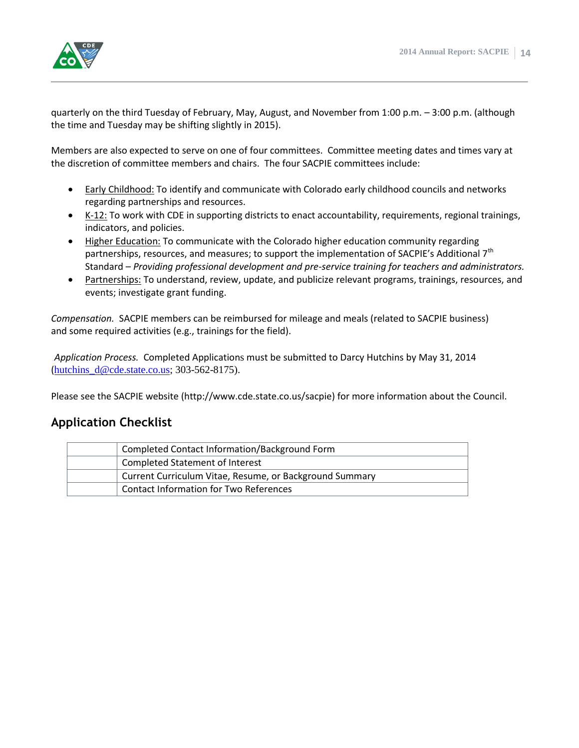

quarterly on the third Tuesday of February, May, August, and November from 1:00 p.m. – 3:00 p.m. (although the time and Tuesday may be shifting slightly in 2015).

Members are also expected to serve on one of four committees. Committee meeting dates and times vary at the discretion of committee members and chairs. The four SACPIE committees include:

- **Early Childhood:** To identify and communicate with Colorado early childhood councils and networks regarding partnerships and resources.
- K-12: To work with CDE in supporting districts to enact accountability, requirements, regional trainings, indicators, and policies.
- Higher Education: To communicate with the Colorado higher education community regarding partnerships, resources, and measures; to support the implementation of SACPIE's Additional 7<sup>th</sup> Standard – *Providing professional development and pre-service training for teachers and administrators.*
- Partnerships: To understand, review, update, and publicize relevant programs, trainings, resources, and events; investigate grant funding.

*Compensation.* SACPIE members can be reimbursed for mileage and meals (related to SACPIE business) and some required activities (e.g., trainings for the field).

*Application Process.* Completed Applications must be submitted to Darcy Hutchins by May 31, 2014  $(hutchins_d@cde. state.co.us; 303-562-8175).$ 

Please see the SACPIE website (http://www.cde.state.co.us/sacpie) for more information about the Council.

#### **Application Checklist**

| Completed Contact Information/Background Form           |
|---------------------------------------------------------|
| Completed Statement of Interest                         |
| Current Curriculum Vitae, Resume, or Background Summary |
| Contact Information for Two References                  |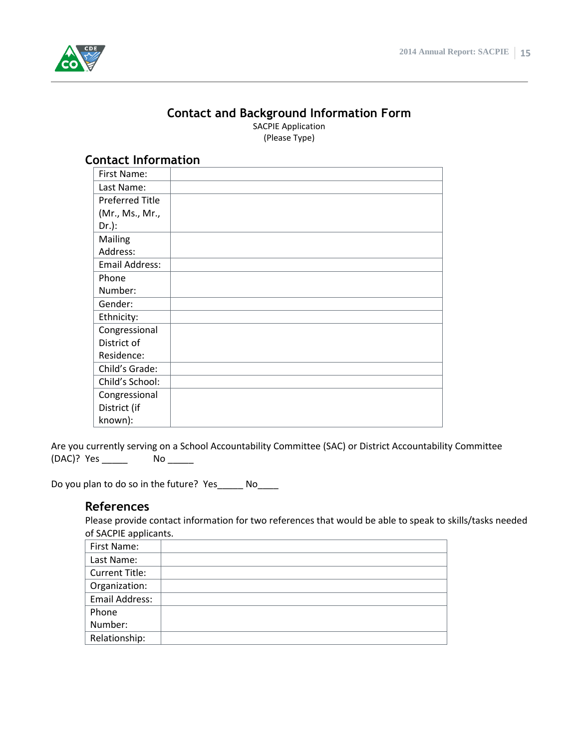

#### **Contact and Background Information Form**

SACPIE Application (Please Type)

#### **Contact Information**

Are you currently serving on a School Accountability Committee (SAC) or District Accountability Committee (DAC)? Yes \_\_\_\_\_\_\_ No \_\_\_\_\_\_

Do you plan to do so in the future? Yes\_\_\_\_\_ No\_\_\_\_

#### **References**

Please provide contact information for two references that would be able to speak to skills/tasks needed of SACPIE applicants.

| First Name:           |  |
|-----------------------|--|
| Last Name:            |  |
| <b>Current Title:</b> |  |
| Organization:         |  |
| Email Address:        |  |
| Phone                 |  |
| Number:               |  |
| Relationship:         |  |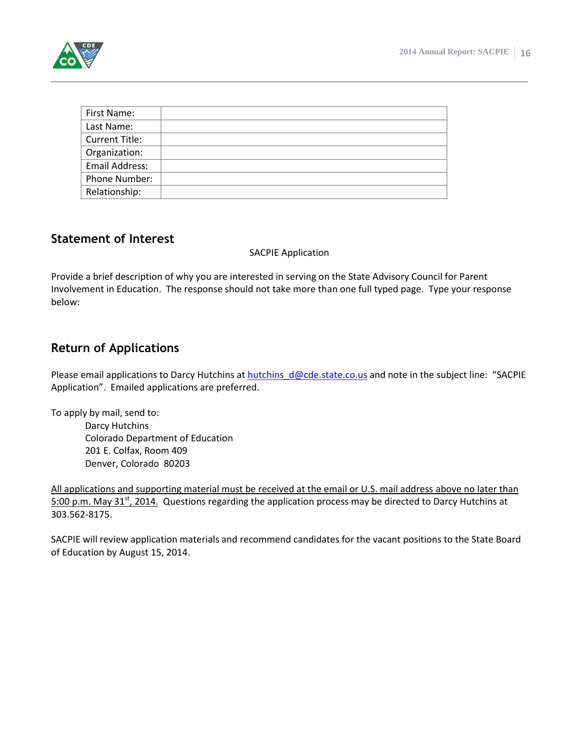

| First Name:           |  |
|-----------------------|--|
| Last Name:            |  |
| <b>Current Title:</b> |  |
| Organization:         |  |
| Email Address:        |  |
| Phone Number:         |  |
| Relationship:         |  |

#### **Statement of Interest**

#### SACPIE Application

Provide a brief description of why you are interested in serving on the State Advisory Council for Parent Involvement in Education. The response should not take more than one full typed page. Type your response below:

#### **Return of Applications**

Please email applications to Darcy Hutchins at hutchins  $d@cde. state.co.us$  and note in the subject line: "SACPIE Application". Emailed applications are preferred.

To apply by mail, send to:

Darcy Hutchins Colorado Department of Education 201 E. Colfax, Room 409 Denver, Colorado 80203

All applications and supporting material must be received at the email or U.S. mail address above no later than 5:00 p.m. May 31<sup>st</sup>, 2014. Questions regarding the application process may be directed to Darcy Hutchins at 303.562-8175.

SACPIE will review application materials and recommend candidates for the vacant positions to the State Board of Education by August 15, 2014.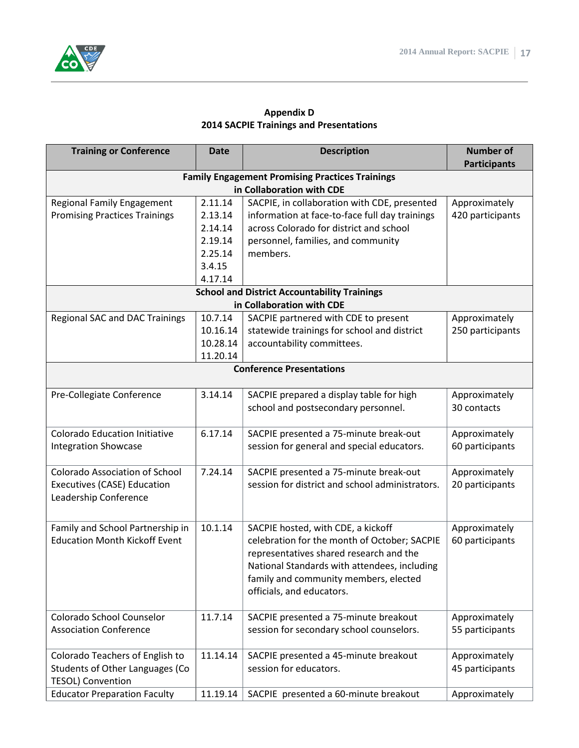

#### **Appendix D 2014 SACPIE Trainings and Presentations**

| <b>Training or Conference</b>                               | <b>Date</b> | <b>Description</b>                                                               | <b>Number of</b>    |
|-------------------------------------------------------------|-------------|----------------------------------------------------------------------------------|---------------------|
|                                                             |             |                                                                                  | <b>Participants</b> |
|                                                             |             | <b>Family Engagement Promising Practices Trainings</b>                           |                     |
|                                                             |             | in Collaboration with CDE                                                        |                     |
| <b>Regional Family Engagement</b>                           | 2.11.14     | SACPIE, in collaboration with CDE, presented                                     | Approximately       |
| <b>Promising Practices Trainings</b>                        | 2.13.14     | information at face-to-face full day trainings                                   | 420 participants    |
|                                                             | 2.14.14     | across Colorado for district and school                                          |                     |
|                                                             | 2.19.14     | personnel, families, and community                                               |                     |
|                                                             | 2.25.14     | members.                                                                         |                     |
|                                                             | 3.4.15      |                                                                                  |                     |
|                                                             | 4.17.14     |                                                                                  |                     |
|                                                             |             | <b>School and District Accountability Trainings</b><br>in Collaboration with CDE |                     |
| <b>Regional SAC and DAC Trainings</b>                       | 10.7.14     | SACPIE partnered with CDE to present                                             | Approximately       |
|                                                             | 10.16.14    | statewide trainings for school and district                                      | 250 participants    |
|                                                             | 10.28.14    | accountability committees.                                                       |                     |
|                                                             | 11.20.14    |                                                                                  |                     |
|                                                             |             | <b>Conference Presentations</b>                                                  |                     |
|                                                             |             |                                                                                  |                     |
| Pre-Collegiate Conference                                   | 3.14.14     | SACPIE prepared a display table for high                                         | Approximately       |
|                                                             |             | school and postsecondary personnel.                                              | 30 contacts         |
|                                                             |             |                                                                                  |                     |
| <b>Colorado Education Initiative</b>                        | 6.17.14     | SACPIE presented a 75-minute break-out                                           | Approximately       |
| <b>Integration Showcase</b>                                 |             | session for general and special educators.                                       | 60 participants     |
|                                                             |             |                                                                                  |                     |
| <b>Colorado Association of School</b>                       | 7.24.14     | SACPIE presented a 75-minute break-out                                           | Approximately       |
| Executives (CASE) Education                                 |             | session for district and school administrators.                                  | 20 participants     |
| Leadership Conference                                       |             |                                                                                  |                     |
|                                                             |             |                                                                                  |                     |
| Family and School Partnership in                            | 10.1.14     | SACPIE hosted, with CDE, a kickoff                                               | Approximately       |
| <b>Education Month Kickoff Event</b>                        |             | celebration for the month of October; SACPIE                                     | 60 participants     |
|                                                             |             | representatives shared research and the                                          |                     |
|                                                             |             | National Standards with attendees, including                                     |                     |
|                                                             |             | family and community members, elected                                            |                     |
|                                                             |             | officials, and educators.                                                        |                     |
|                                                             |             |                                                                                  |                     |
| Colorado School Counselor                                   | 11.7.14     | SACPIE presented a 75-minute breakout                                            | Approximately       |
| <b>Association Conference</b>                               |             | session for secondary school counselors.                                         | 55 participants     |
|                                                             |             |                                                                                  |                     |
| Colorado Teachers of English to                             | 11.14.14    | SACPIE presented a 45-minute breakout                                            | Approximately       |
| Students of Other Languages (Co<br><b>TESOL) Convention</b> |             | session for educators.                                                           | 45 participants     |
|                                                             |             |                                                                                  |                     |
| <b>Educator Preparation Faculty</b>                         | 11.19.14    | SACPIE presented a 60-minute breakout                                            | Approximately       |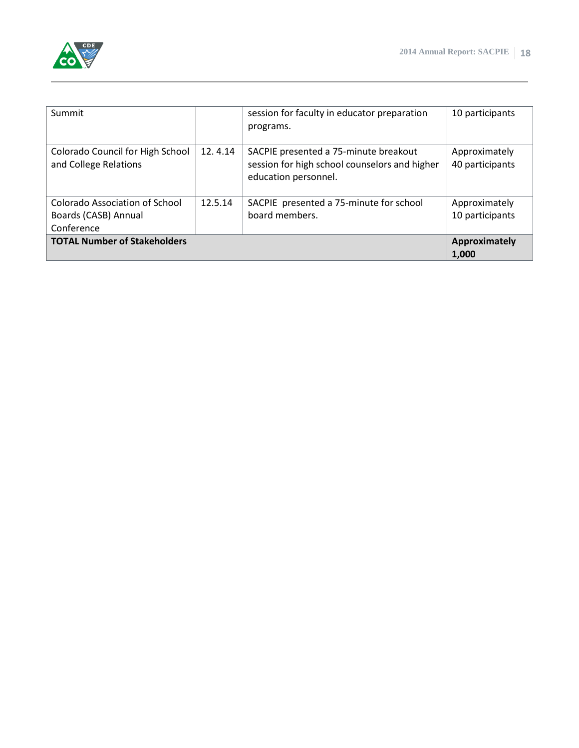

| Summit                                                               |         | session for faculty in educator preparation<br>programs.                                                       | 10 participants                  |
|----------------------------------------------------------------------|---------|----------------------------------------------------------------------------------------------------------------|----------------------------------|
| Colorado Council for High School<br>and College Relations            | 12.4.14 | SACPIE presented a 75-minute breakout<br>session for high school counselors and higher<br>education personnel. | Approximately<br>40 participants |
| Colorado Association of School<br>Boards (CASB) Annual<br>Conference | 12.5.14 | SACPIE presented a 75-minute for school<br>board members.                                                      | Approximately<br>10 participants |
| <b>TOTAL Number of Stakeholders</b>                                  |         |                                                                                                                | Approximately<br>1.000           |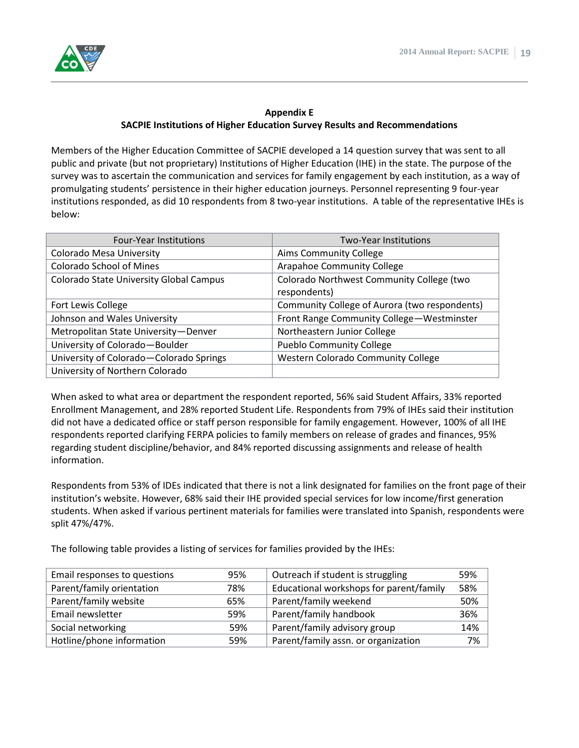

#### **Appendix E SACPIE Institutions of Higher Education Survey Results and Recommendations**

Members of the Higher Education Committee of SACPIE developed a 14 question survey that was sent to all public and private (but not proprietary) Institutions of Higher Education (IHE) in the state. The purpose of the survey was to ascertain the communication and services for family engagement by each institution, as a way of promulgating students' persistence in their higher education journeys. Personnel representing 9 four-year institutions responded, as did 10 respondents from 8 two-year institutions. A table of the representative IHEs is below:

| <b>Four-Year Institutions</b>           | Two-Year Institutions                                     |
|-----------------------------------------|-----------------------------------------------------------|
| <b>Colorado Mesa University</b>         | <b>Aims Community College</b>                             |
| <b>Colorado School of Mines</b>         | <b>Arapahoe Community College</b>                         |
| Colorado State University Global Campus | Colorado Northwest Community College (two<br>respondents) |
| Fort Lewis College                      | Community College of Aurora (two respondents)             |
| Johnson and Wales University            | Front Range Community College-Westminster                 |
| Metropolitan State University-Denver    | Northeastern Junior College                               |
| University of Colorado-Boulder          | <b>Pueblo Community College</b>                           |
| University of Colorado-Colorado Springs | Western Colorado Community College                        |
| University of Northern Colorado         |                                                           |

When asked to what area or department the respondent reported, 56% said Student Affairs, 33% reported Enrollment Management, and 28% reported Student Life. Respondents from 79% of IHEs said their institution did not have a dedicated office or staff person responsible for family engagement. However, 100% of all IHE respondents reported clarifying FERPA policies to family members on release of grades and finances, 95% regarding student discipline/behavior, and 84% reported discussing assignments and release of health information.

Respondents from 53% of IDEs indicated that there is not a link designated for families on the front page of their institution's website. However, 68% said their IHE provided special services for low income/first generation students. When asked if various pertinent materials for families were translated into Spanish, respondents were split 47%/47%.

The following table provides a listing of services for families provided by the IHEs:

| Email responses to questions | 95% | Outreach if student is struggling       | 59% |
|------------------------------|-----|-----------------------------------------|-----|
| Parent/family orientation    | 78% | Educational workshops for parent/family | 58% |
| Parent/family website        | 65% | Parent/family weekend                   | 50% |
| Email newsletter             | 59% | Parent/family handbook                  | 36% |
| Social networking            | 59% | Parent/family advisory group            | 14% |
| Hotline/phone information    | 59% | Parent/family assn. or organization     | 7%  |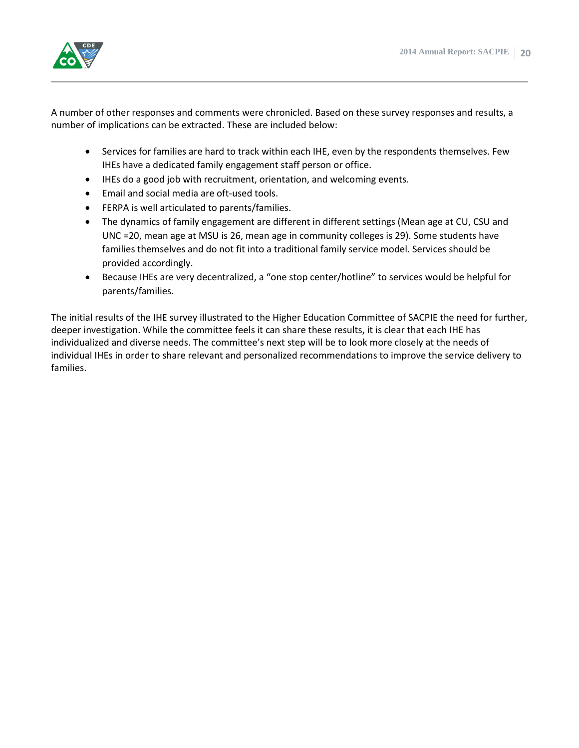

A number of other responses and comments were chronicled. Based on these survey responses and results, a number of implications can be extracted. These are included below:

- Services for families are hard to track within each IHE, even by the respondents themselves. Few IHEs have a dedicated family engagement staff person or office.
- IHEs do a good job with recruitment, orientation, and welcoming events.
- Email and social media are oft-used tools.
- FERPA is well articulated to parents/families.
- The dynamics of family engagement are different in different settings (Mean age at CU, CSU and UNC =20, mean age at MSU is 26, mean age in community colleges is 29). Some students have families themselves and do not fit into a traditional family service model. Services should be provided accordingly.
- Because IHEs are very decentralized, a "one stop center/hotline" to services would be helpful for parents/families.

The initial results of the IHE survey illustrated to the Higher Education Committee of SACPIE the need for further, deeper investigation. While the committee feels it can share these results, it is clear that each IHE has individualized and diverse needs. The committee's next step will be to look more closely at the needs of individual IHEs in order to share relevant and personalized recommendations to improve the service delivery to families.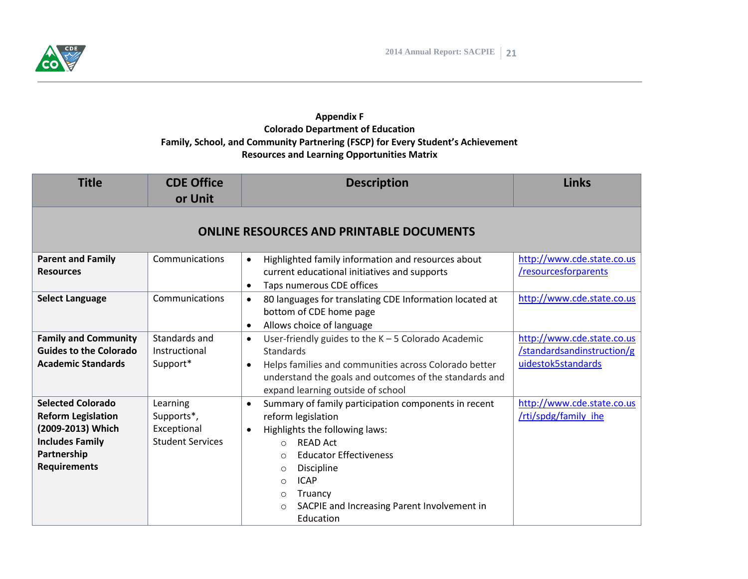

#### **Appendix F Colorado Department of Education Family, School, and Community Partnering (FSCP) for Every Student's Achievement Resources and Learning Opportunities Matrix**

| <b>Title</b>                                                                                                                               | <b>CDE Office</b><br>or Unit                                     | <b>Description</b>                                                                                                                                                                                                                                                                                                                                               | <b>Links</b>                                                                   |
|--------------------------------------------------------------------------------------------------------------------------------------------|------------------------------------------------------------------|------------------------------------------------------------------------------------------------------------------------------------------------------------------------------------------------------------------------------------------------------------------------------------------------------------------------------------------------------------------|--------------------------------------------------------------------------------|
|                                                                                                                                            |                                                                  | <b>ONLINE RESOURCES AND PRINTABLE DOCUMENTS</b>                                                                                                                                                                                                                                                                                                                  |                                                                                |
| <b>Parent and Family</b><br><b>Resources</b>                                                                                               | Communications                                                   | Highlighted family information and resources about<br>$\bullet$<br>current educational initiatives and supports<br>Taps numerous CDE offices<br>$\bullet$                                                                                                                                                                                                        | http://www.cde.state.co.us<br>/resourcesforparents                             |
| <b>Select Language</b>                                                                                                                     | Communications                                                   | 80 languages for translating CDE Information located at<br>$\bullet$<br>bottom of CDE home page<br>Allows choice of language<br>$\bullet$                                                                                                                                                                                                                        | http://www.cde.state.co.us                                                     |
| <b>Family and Community</b><br><b>Guides to the Colorado</b><br><b>Academic Standards</b>                                                  | Standards and<br>Instructional<br>Support*                       | User-friendly guides to the $K - 5$ Colorado Academic<br>$\bullet$<br><b>Standards</b><br>Helps families and communities across Colorado better<br>$\bullet$<br>understand the goals and outcomes of the standards and<br>expand learning outside of school                                                                                                      | http://www.cde.state.co.us<br>/standardsandinstruction/g<br>uidestok5standards |
| <b>Selected Colorado</b><br><b>Reform Legislation</b><br>(2009-2013) Which<br><b>Includes Family</b><br>Partnership<br><b>Requirements</b> | Learning<br>Supports*,<br>Exceptional<br><b>Student Services</b> | Summary of family participation components in recent<br>$\bullet$<br>reform legislation<br>Highlights the following laws:<br>$\bullet$<br><b>READ Act</b><br>$\circ$<br><b>Educator Effectiveness</b><br>$\bigcirc$<br>Discipline<br>$\circ$<br><b>ICAP</b><br>$\bigcirc$<br>Truancy<br>O<br>SACPIE and Increasing Parent Involvement in<br>$\circ$<br>Education | http://www.cde.state.co.us<br>/rti/spdg/family ihe                             |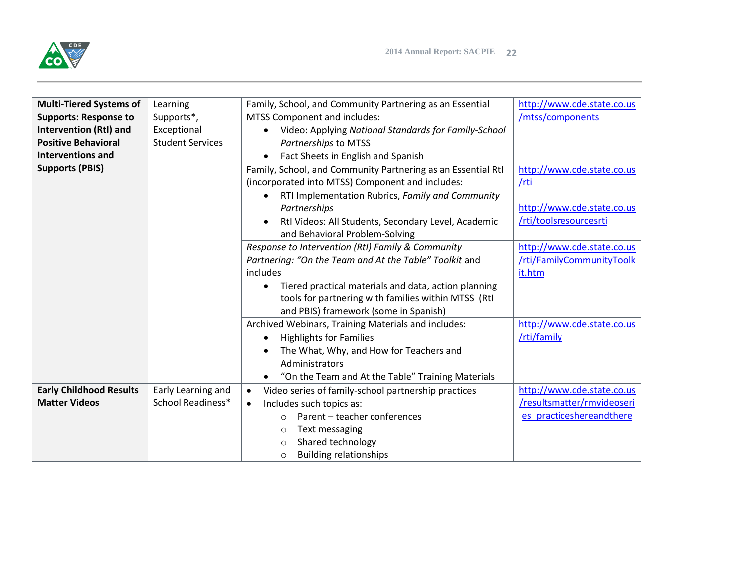

| <b>Multi-Tiered Systems of</b> | Learning                | Family, School, and Community Partnering as an Essential          | http://www.cde.state.co.us |
|--------------------------------|-------------------------|-------------------------------------------------------------------|----------------------------|
| <b>Supports: Response to</b>   | Supports*,              | MTSS Component and includes:                                      | /mtss/components           |
| <b>Intervention (RtI) and</b>  | Exceptional             | Video: Applying National Standards for Family-School<br>$\bullet$ |                            |
| <b>Positive Behavioral</b>     | <b>Student Services</b> | Partnerships to MTSS                                              |                            |
| <b>Interventions and</b>       |                         | Fact Sheets in English and Spanish<br>$\bullet$                   |                            |
| <b>Supports (PBIS)</b>         |                         | Family, School, and Community Partnering as an Essential RtI      | http://www.cde.state.co.us |
|                                |                         | (incorporated into MTSS) Component and includes:                  | /rti                       |
|                                |                         | RTI Implementation Rubrics, Family and Community<br>$\bullet$     |                            |
|                                |                         | Partnerships                                                      | http://www.cde.state.co.us |
|                                |                         | Rtl Videos: All Students, Secondary Level, Academic<br>$\bullet$  | /rti/toolsresourcesrti     |
|                                |                         | and Behavioral Problem-Solving                                    |                            |
|                                |                         | Response to Intervention (RtI) Family & Community                 | http://www.cde.state.co.us |
|                                |                         | Partnering: "On the Team and At the Table" Toolkit and            | /rti/FamilyCommunityToolk  |
|                                |                         | includes                                                          | it.htm                     |
|                                |                         | Tiered practical materials and data, action planning<br>$\bullet$ |                            |
|                                |                         | tools for partnering with families within MTSS (Rtl               |                            |
|                                |                         | and PBIS) framework (some in Spanish)                             |                            |
|                                |                         | Archived Webinars, Training Materials and includes:               | http://www.cde.state.co.us |
|                                |                         | <b>Highlights for Families</b><br>$\bullet$                       | /rti/family                |
|                                |                         | The What, Why, and How for Teachers and                           |                            |
|                                |                         | Administrators                                                    |                            |
|                                |                         | "On the Team and At the Table" Training Materials                 |                            |
| <b>Early Childhood Results</b> | Early Learning and      | Video series of family-school partnership practices<br>$\bullet$  | http://www.cde.state.co.us |
| <b>Matter Videos</b>           | School Readiness*       | Includes such topics as:<br>$\bullet$                             | /resultsmatter/rmvideoseri |
|                                |                         | Parent - teacher conferences<br>$\circ$                           | es_practiceshereandthere   |
|                                |                         | Text messaging<br>$\circ$                                         |                            |
|                                |                         | Shared technology<br>$\Omega$                                     |                            |
|                                |                         | <b>Building relationships</b><br>$\circ$                          |                            |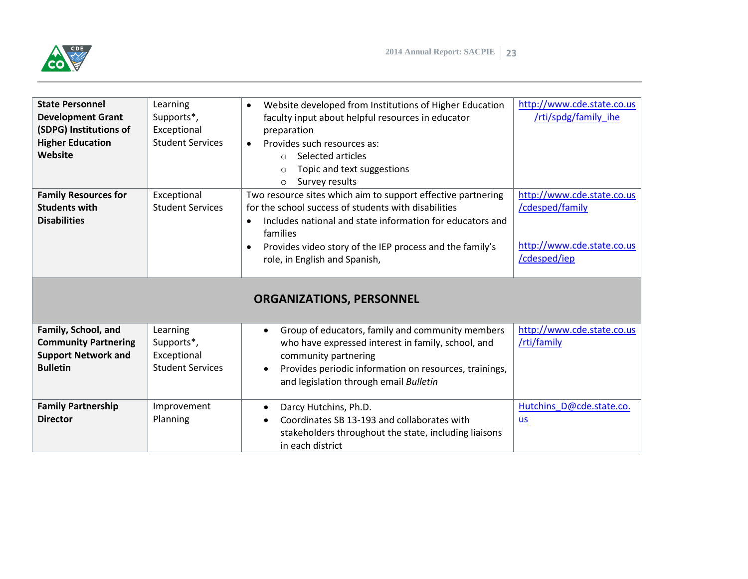

| <b>State Personnel</b><br><b>Development Grant</b><br>(SDPG) Institutions of<br><b>Higher Education</b><br>Website<br><b>Family Resources for</b><br><b>Students with</b><br><b>Disabilities</b> | Learning<br>Supports*,<br>Exceptional<br><b>Student Services</b><br>Exceptional<br><b>Student Services</b> | Website developed from Institutions of Higher Education<br>$\bullet$<br>faculty input about helpful resources in educator<br>preparation<br>Provides such resources as:<br>$\bullet$<br>Selected articles<br>$\bigcap$<br>Topic and text suggestions<br>$\circ$<br>Survey results<br>$\circ$<br>Two resource sites which aim to support effective partnering<br>for the school success of students with disabilities<br>Includes national and state information for educators and<br>$\bullet$<br>families<br>Provides video story of the IEP process and the family's<br>$\bullet$<br>role, in English and Spanish,<br><b>ORGANIZATIONS, PERSONNEL</b> | http://www.cde.state.co.us<br>/rti/spdg/family ihe<br>http://www.cde.state.co.us<br>/cdesped/family<br>http://www.cde.state.co.us<br>/cdesped/iep |
|--------------------------------------------------------------------------------------------------------------------------------------------------------------------------------------------------|------------------------------------------------------------------------------------------------------------|---------------------------------------------------------------------------------------------------------------------------------------------------------------------------------------------------------------------------------------------------------------------------------------------------------------------------------------------------------------------------------------------------------------------------------------------------------------------------------------------------------------------------------------------------------------------------------------------------------------------------------------------------------|---------------------------------------------------------------------------------------------------------------------------------------------------|
| Family, School, and<br><b>Community Partnering</b><br><b>Support Network and</b><br><b>Bulletin</b>                                                                                              | Learning<br>Supports*,<br>Exceptional<br><b>Student Services</b>                                           | Group of educators, family and community members<br>$\bullet$<br>who have expressed interest in family, school, and<br>community partnering<br>Provides periodic information on resources, trainings,<br>$\bullet$<br>and legislation through email Bulletin                                                                                                                                                                                                                                                                                                                                                                                            | http://www.cde.state.co.us<br>/rti/family                                                                                                         |
| <b>Family Partnership</b><br><b>Director</b>                                                                                                                                                     | Improvement<br>Planning                                                                                    | Darcy Hutchins, Ph.D.<br>$\bullet$<br>Coordinates SB 13-193 and collaborates with<br>stakeholders throughout the state, including liaisons<br>in each district                                                                                                                                                                                                                                                                                                                                                                                                                                                                                          | Hutchins D@cde.state.co.<br>$\underline{\mathsf{u}}$                                                                                              |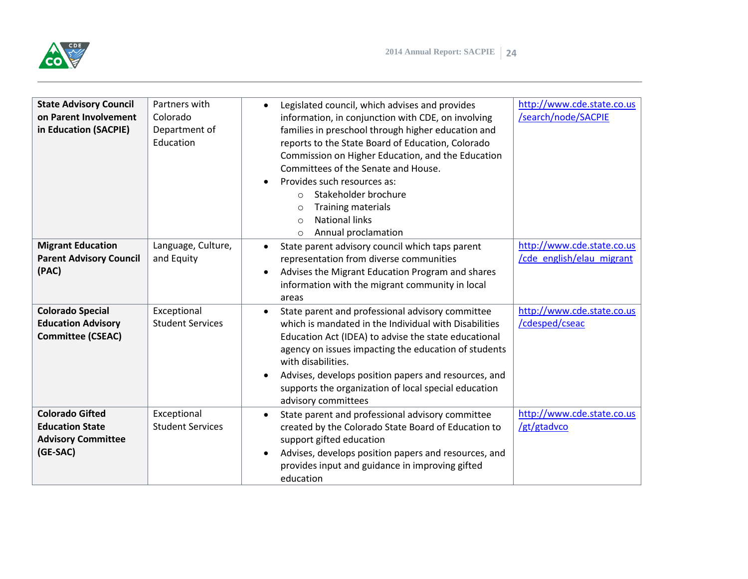

| <b>State Advisory Council</b><br>on Parent Involvement<br>in Education (SACPIE)           | Partners with<br>Colorado<br>Department of<br>Education | Legislated council, which advises and provides<br>$\bullet$<br>information, in conjunction with CDE, on involving<br>families in preschool through higher education and<br>reports to the State Board of Education, Colorado<br>Commission on Higher Education, and the Education<br>Committees of the Senate and House.<br>Provides such resources as:<br>$\bullet$<br>Stakeholder brochure<br>$\Omega$<br><b>Training materials</b><br>$\circ$<br><b>National links</b><br>$\bigcirc$<br>Annual proclamation<br>$\circ$ | http://www.cde.state.co.us<br>/search/node/SACPIE       |
|-------------------------------------------------------------------------------------------|---------------------------------------------------------|---------------------------------------------------------------------------------------------------------------------------------------------------------------------------------------------------------------------------------------------------------------------------------------------------------------------------------------------------------------------------------------------------------------------------------------------------------------------------------------------------------------------------|---------------------------------------------------------|
| <b>Migrant Education</b><br><b>Parent Advisory Council</b><br>(PAC)                       | Language, Culture,<br>and Equity                        | State parent advisory council which taps parent<br>$\bullet$<br>representation from diverse communities<br>Advises the Migrant Education Program and shares<br>$\bullet$<br>information with the migrant community in local<br>areas                                                                                                                                                                                                                                                                                      | http://www.cde.state.co.us<br>/cde english/elau migrant |
| <b>Colorado Special</b><br><b>Education Advisory</b><br><b>Committee (CSEAC)</b>          | Exceptional<br><b>Student Services</b>                  | State parent and professional advisory committee<br>$\bullet$<br>which is mandated in the Individual with Disabilities<br>Education Act (IDEA) to advise the state educational<br>agency on issues impacting the education of students<br>with disabilities.<br>Advises, develops position papers and resources, and<br>$\bullet$<br>supports the organization of local special education<br>advisory committees                                                                                                          | http://www.cde.state.co.us<br>/cdesped/cseac            |
| <b>Colorado Gifted</b><br><b>Education State</b><br><b>Advisory Committee</b><br>(GE-SAC) | Exceptional<br><b>Student Services</b>                  | State parent and professional advisory committee<br>$\bullet$<br>created by the Colorado State Board of Education to<br>support gifted education<br>Advises, develops position papers and resources, and<br>$\bullet$<br>provides input and guidance in improving gifted<br>education                                                                                                                                                                                                                                     | http://www.cde.state.co.us<br>/gt/gtadvco               |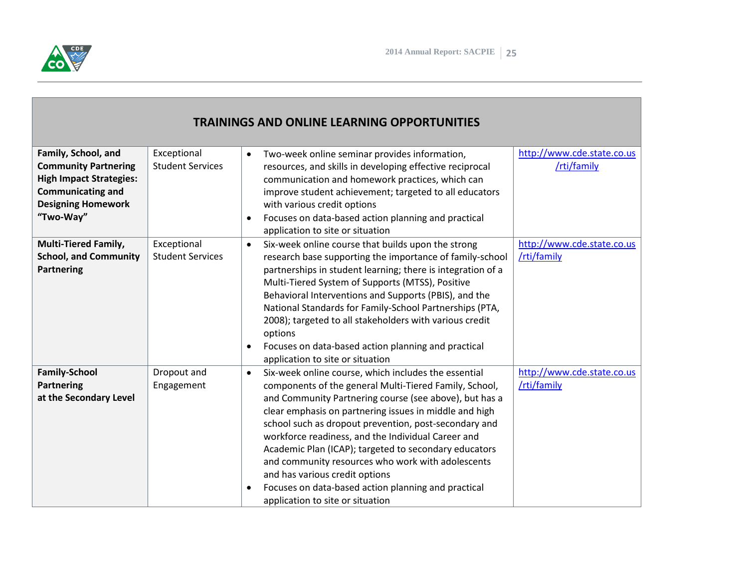

## **TRAININGS AND ONLINE LEARNING OPPORTUNITIES**

| Family, School, and<br><b>Community Partnering</b><br><b>High Impact Strategies:</b><br><b>Communicating and</b><br><b>Designing Homework</b><br>"Two-Way" | Exceptional<br><b>Student Services</b> | Two-week online seminar provides information,<br>$\bullet$<br>resources, and skills in developing effective reciprocal<br>communication and homework practices, which can<br>improve student achievement; targeted to all educators<br>with various credit options<br>Focuses on data-based action planning and practical<br>$\bullet$<br>application to site or situation                                                                                                                                                                                                                                             | http://www.cde.state.co.us<br>/rti/family |
|------------------------------------------------------------------------------------------------------------------------------------------------------------|----------------------------------------|------------------------------------------------------------------------------------------------------------------------------------------------------------------------------------------------------------------------------------------------------------------------------------------------------------------------------------------------------------------------------------------------------------------------------------------------------------------------------------------------------------------------------------------------------------------------------------------------------------------------|-------------------------------------------|
| <b>Multi-Tiered Family,</b><br><b>School, and Community</b><br>Partnering                                                                                  | Exceptional<br><b>Student Services</b> | Six-week online course that builds upon the strong<br>$\bullet$<br>research base supporting the importance of family-school<br>partnerships in student learning; there is integration of a<br>Multi-Tiered System of Supports (MTSS), Positive<br>Behavioral Interventions and Supports (PBIS), and the<br>National Standards for Family-School Partnerships (PTA,<br>2008); targeted to all stakeholders with various credit<br>options<br>Focuses on data-based action planning and practical<br>$\bullet$<br>application to site or situation                                                                       | http://www.cde.state.co.us<br>/rti/family |
| <b>Family-School</b><br>Partnering<br>at the Secondary Level                                                                                               | Dropout and<br>Engagement              | Six-week online course, which includes the essential<br>$\bullet$<br>components of the general Multi-Tiered Family, School,<br>and Community Partnering course (see above), but has a<br>clear emphasis on partnering issues in middle and high<br>school such as dropout prevention, post-secondary and<br>workforce readiness, and the Individual Career and<br>Academic Plan (ICAP); targeted to secondary educators<br>and community resources who work with adolescents<br>and has various credit options<br>Focuses on data-based action planning and practical<br>$\bullet$<br>application to site or situation | http://www.cde.state.co.us<br>/rti/family |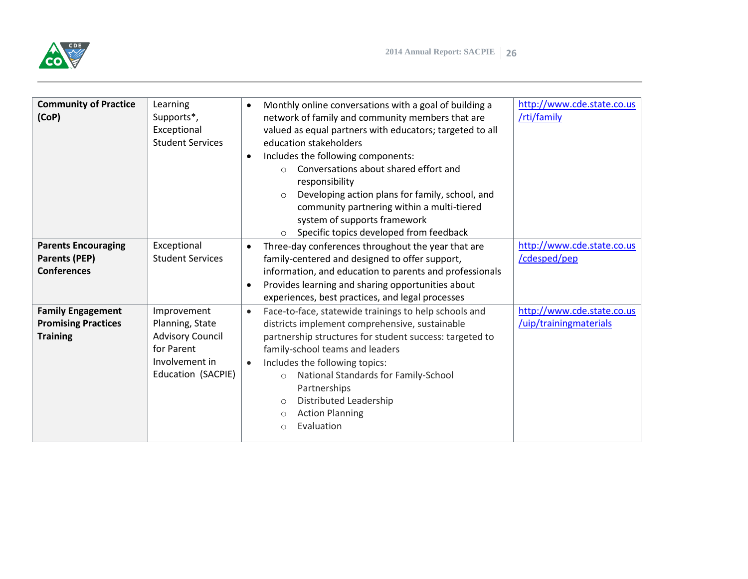

| <b>Community of Practice</b><br>(CoP)                                     | Learning<br>Supports*,<br>Exceptional<br><b>Student Services</b>                                                | Monthly online conversations with a goal of building a<br>$\bullet$<br>network of family and community members that are<br>valued as equal partners with educators; targeted to all<br>education stakeholders<br>Includes the following components:<br>$\bullet$<br>Conversations about shared effort and<br>$\bigcap$<br>responsibility<br>Developing action plans for family, school, and<br>$\circ$<br>community partnering within a multi-tiered<br>system of supports framework<br>Specific topics developed from feedback<br>$\circ$ | http://www.cde.state.co.us<br>/rti/family            |
|---------------------------------------------------------------------------|-----------------------------------------------------------------------------------------------------------------|--------------------------------------------------------------------------------------------------------------------------------------------------------------------------------------------------------------------------------------------------------------------------------------------------------------------------------------------------------------------------------------------------------------------------------------------------------------------------------------------------------------------------------------------|------------------------------------------------------|
| <b>Parents Encouraging</b><br><b>Parents (PEP)</b><br><b>Conferences</b>  | Exceptional<br><b>Student Services</b>                                                                          | Three-day conferences throughout the year that are<br>$\bullet$<br>family-centered and designed to offer support,<br>information, and education to parents and professionals<br>Provides learning and sharing opportunities about<br>$\bullet$<br>experiences, best practices, and legal processes                                                                                                                                                                                                                                         | http://www.cde.state.co.us<br>/cdesped/pep           |
| <b>Family Engagement</b><br><b>Promising Practices</b><br><b>Training</b> | Improvement<br>Planning, State<br><b>Advisory Council</b><br>for Parent<br>Involvement in<br>Education (SACPIE) | Face-to-face, statewide trainings to help schools and<br>$\bullet$<br>districts implement comprehensive, sustainable<br>partnership structures for student success: targeted to<br>family-school teams and leaders<br>Includes the following topics:<br>$\bullet$<br>National Standards for Family-School<br>$\circ$<br>Partnerships<br>Distributed Leadership<br>$\circ$<br><b>Action Planning</b><br>$\circ$<br>Evaluation<br>$\circ$                                                                                                    | http://www.cde.state.co.us<br>/uip/trainingmaterials |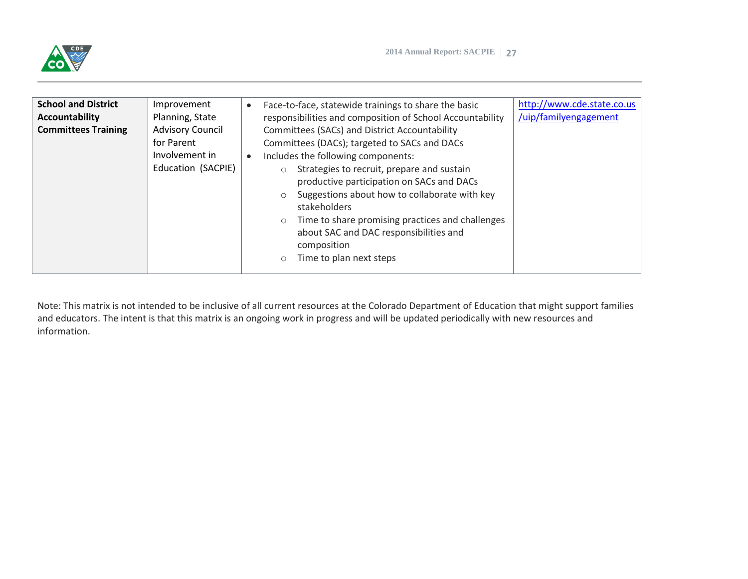

| <b>School and District</b> | Improvement             | http://www.cde.state.co.us<br>Face-to-face, statewide trainings to share the basic<br>$\bullet$ |
|----------------------------|-------------------------|-------------------------------------------------------------------------------------------------|
| Accountability             | Planning, State         | /uip/familyengagement<br>responsibilities and composition of School Accountability              |
| <b>Committees Training</b> | <b>Advisory Council</b> | Committees (SACs) and District Accountability                                                   |
|                            | for Parent              | Committees (DACs); targeted to SACs and DACs                                                    |
|                            | Involvement in          | Includes the following components:<br>$\bullet$                                                 |
|                            | Education (SACPIE)      | Strategies to recruit, prepare and sustain<br>$\circ$                                           |
|                            |                         | productive participation on SACs and DACs                                                       |
|                            |                         | Suggestions about how to collaborate with key<br>$\circ$                                        |
|                            |                         | stakeholders                                                                                    |
|                            |                         | Time to share promising practices and challenges<br>$\circ$                                     |
|                            |                         | about SAC and DAC responsibilities and                                                          |
|                            |                         | composition                                                                                     |
|                            |                         | Time to plan next steps<br>$\circ$                                                              |
|                            |                         |                                                                                                 |

Note: This matrix is not intended to be inclusive of all current resources at the Colorado Department of Education that might support families and educators. The intent is that this matrix is an ongoing work in progress and will be updated periodically with new resources and information.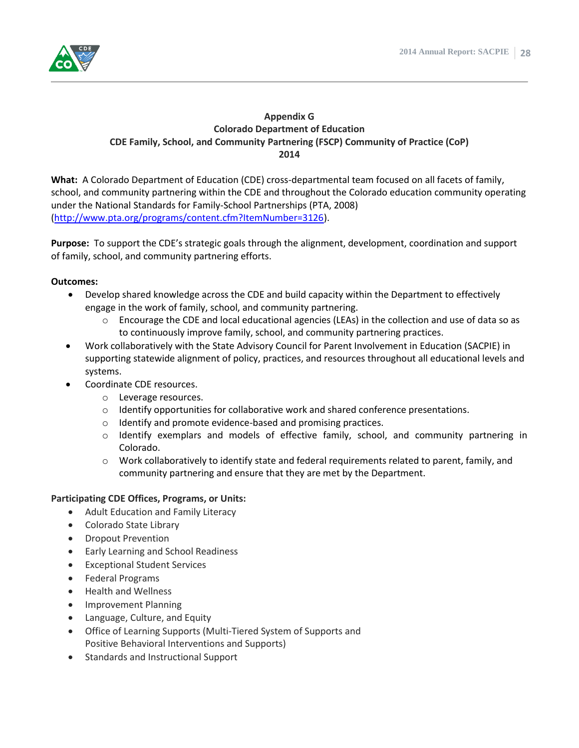

#### **Appendix G Colorado Department of Education CDE Family, School, and Community Partnering (FSCP) Community of Practice (CoP) 2014**

**What:** A Colorado Department of Education (CDE) cross-departmental team focused on all facets of family, school, and community partnering within the CDE and throughout the Colorado education community operating under the National Standards for Family-School Partnerships (PTA, 2008) [\(http://www.pta.org/programs/content.cfm?ItemNumber=3126\)](http://www.pta.org/programs/content.cfm?ItemNumber=3126).

**Purpose:** To support the CDE's strategic goals through the alignment, development, coordination and support of family, school, and community partnering efforts.

#### **Outcomes:**

- Develop shared knowledge across the CDE and build capacity within the Department to effectively engage in the work of family, school, and community partnering.
	- $\circ$  Encourage the CDE and local educational agencies (LEAs) in the collection and use of data so as to continuously improve family, school, and community partnering practices.
- Work collaboratively with the State Advisory Council for Parent Involvement in Education (SACPIE) in supporting statewide alignment of policy, practices, and resources throughout all educational levels and systems.
- Coordinate CDE resources.
	- o Leverage resources.
	- $\circ$  Identify opportunities for collaborative work and shared conference presentations.
	- o Identify and promote evidence-based and promising practices.
	- o Identify exemplars and models of effective family, school, and community partnering in Colorado.
	- $\circ$  Work collaboratively to identify state and federal requirements related to parent, family, and community partnering and ensure that they are met by the Department.

#### **Participating CDE Offices, Programs, or Units:**

- Adult Education and Family Literacy
- Colorado State Library
- Dropout Prevention
- Early Learning and School Readiness
- Exceptional Student Services
- Federal Programs
- Health and Wellness
- Improvement Planning
- Language, Culture, and Equity
- Office of Learning Supports (Multi-Tiered System of Supports and Positive Behavioral Interventions and Supports)
- Standards and Instructional Support